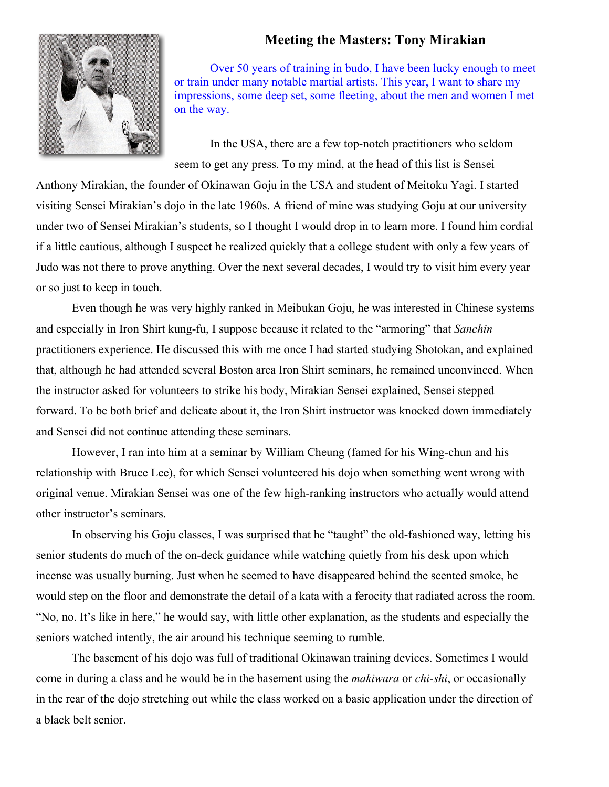## **Meeting the Masters: Tony Mirakian**



Over 50 years of training in budo, I have been lucky enough to meet or train under many notable martial artists. This year, I want to share my impressions, some deep set, some fleeting, about the men and women I met on the way.

In the USA, there are a few top-notch practitioners who seldom seem to get any press. To my mind, at the head of this list is Sensei

Anthony Mirakian, the founder of Okinawan Goju in the USA and student of Meitoku Yagi. I started visiting Sensei Mirakian's dojo in the late 1960s. A friend of mine was studying Goju at our university under two of Sensei Mirakian's students, so I thought I would drop in to learn more. I found him cordial if a little cautious, although I suspect he realized quickly that a college student with only a few years of Judo was not there to prove anything. Over the next several decades, I would try to visit him every year or so just to keep in touch.

Even though he was very highly ranked in Meibukan Goju, he was interested in Chinese systems and especially in Iron Shirt kung-fu, I suppose because it related to the "armoring" that *Sanchin* practitioners experience. He discussed this with me once I had started studying Shotokan, and explained that, although he had attended several Boston area Iron Shirt seminars, he remained unconvinced. When the instructor asked for volunteers to strike his body, Mirakian Sensei explained, Sensei stepped forward. To be both brief and delicate about it, the Iron Shirt instructor was knocked down immediately and Sensei did not continue attending these seminars.

However, I ran into him at a seminar by William Cheung (famed for his Wing-chun and his relationship with Bruce Lee), for which Sensei volunteered his dojo when something went wrong with original venue. Mirakian Sensei was one of the few high-ranking instructors who actually would attend other instructor's seminars.

In observing his Goju classes, I was surprised that he "taught" the old-fashioned way, letting his senior students do much of the on-deck guidance while watching quietly from his desk upon which incense was usually burning. Just when he seemed to have disappeared behind the scented smoke, he would step on the floor and demonstrate the detail of a kata with a ferocity that radiated across the room. "No, no. It's like in here," he would say, with little other explanation, as the students and especially the seniors watched intently, the air around his technique seeming to rumble.

The basement of his dojo was full of traditional Okinawan training devices. Sometimes I would come in during a class and he would be in the basement using the *makiwara* or *chi-shi*, or occasionally in the rear of the dojo stretching out while the class worked on a basic application under the direction of a black belt senior.